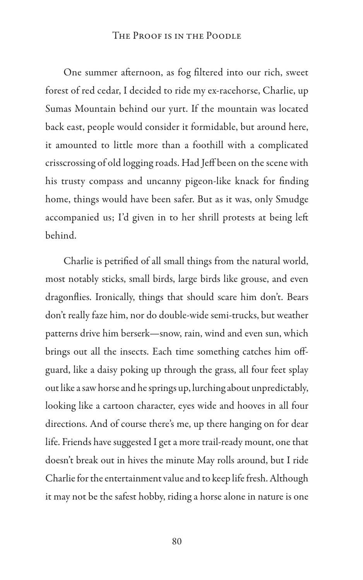## The Proof is in the Poodle

One summer afternoon, as fog filtered into our rich, sweet forest of red cedar, I decided to ride my ex-racehorse, Charlie, up Sumas Mountain behind our yurt. If the mountain was located back east, people would consider it formidable, but around here, it amounted to little more than a foothill with a complicated crisscrossing of old logging roads. Had Jeff been on the scene with his trusty compass and uncanny pigeon-like knack for finding home, things would have been safer. But as it was, only Smudge accompanied us; I'd given in to her shrill protests at being left behind.

Charlie is petrified of all small things from the natural world, most notably sticks, small birds, large birds like grouse, and even dragonflies. Ironically, things that should scare him don't. Bears don't really faze him, nor do double-wide semi-trucks, but weather patterns drive him berserk—snow, rain, wind and even sun, which brings out all the insects. Each time something catches him offguard, like a daisy poking up through the grass, all four feet splay out like a saw horse and he springs up, lurching about unpredictably, looking like a cartoon character, eyes wide and hooves in all four directions. And of course there's me, up there hanging on for dear life. Friends have suggested I get a more trail-ready mount, one that doesn't break out in hives the minute May rolls around, but I ride Charlie for the entertainment value and to keep life fresh. Although it may not be the safest hobby, riding a horse alone in nature is one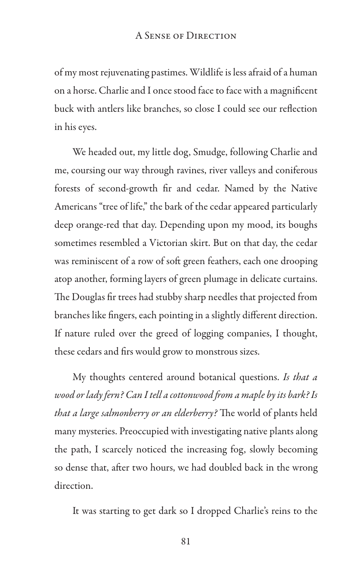of my most rejuvenating pastimes. Wildlife is less afraid of a human on a horse. Charlie and I once stood face to face with a magnificent buck with antlers like branches, so close I could see our reflection in his eyes.

We headed out, my little dog, Smudge, following Charlie and me, coursing our way through ravines, river valleys and coniferous forests of second-growth fir and cedar. Named by the Native Americans "tree of life," the bark of the cedar appeared particularly deep orange-red that day. Depending upon my mood, its boughs sometimes resembled a Victorian skirt. But on that day, the cedar was reminiscent of a row of soft green feathers, each one drooping atop another, forming layers of green plumage in delicate curtains. The Douglas fir trees had stubby sharp needles that projected from branches like fingers, each pointing in a slightly different direction. If nature ruled over the greed of logging companies, I thought, these cedars and firs would grow to monstrous sizes.

My thoughts centered around botanical questions. *Is that a wood or lady fern? Can I tell a cottonwood from a maple by its bark? Is that a large salmonberry or an elderberry?* The world of plants held many mysteries. Preoccupied with investigating native plants along the path, I scarcely noticed the increasing fog, slowly becoming so dense that, after two hours, we had doubled back in the wrong direction.

It was starting to get dark so I dropped Charlie's reins to the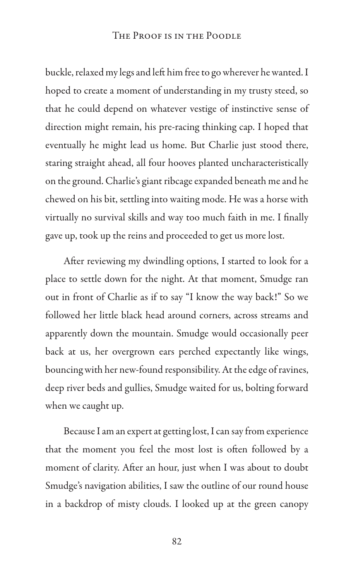## The Proof is in the Poodle

buckle, relaxed my legs and left him free to go wherever he wanted. I hoped to create a moment of understanding in my trusty steed, so that he could depend on whatever vestige of instinctive sense of direction might remain, his pre-racing thinking cap. I hoped that eventually he might lead us home. But Charlie just stood there, staring straight ahead, all four hooves planted uncharacteristically on the ground. Charlie's giant ribcage expanded beneath me and he chewed on his bit, settling into waiting mode. He was a horse with virtually no survival skills and way too much faith in me. I finally gave up, took up the reins and proceeded to get us more lost.

After reviewing my dwindling options, I started to look for a place to settle down for the night. At that moment, Smudge ran out in front of Charlie as if to say "I know the way back!" So we followed her little black head around corners, across streams and apparently down the mountain. Smudge would occasionally peer back at us, her overgrown ears perched expectantly like wings, bouncing with her new-found responsibility. At the edge of ravines, deep river beds and gullies, Smudge waited for us, bolting forward when we caught up.

Because I am an expert at getting lost, I can say from experience that the moment you feel the most lost is often followed by a moment of clarity. After an hour, just when I was about to doubt Smudge's navigation abilities, I saw the outline of our round house in a backdrop of misty clouds. I looked up at the green canopy

82